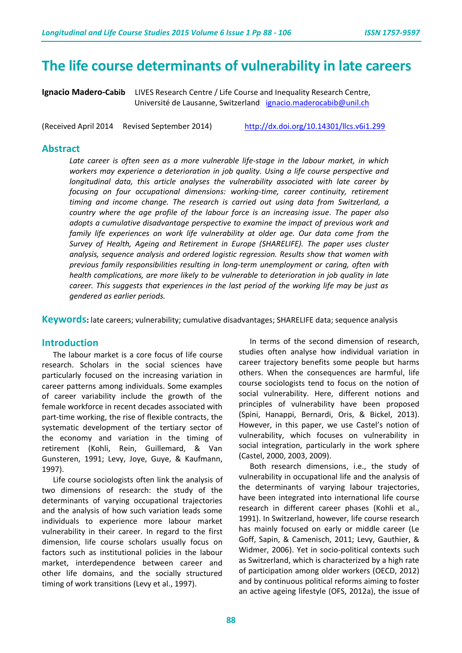## **The life course determinants of vulnerability in late careers**

**Ignacio Madero-Cabib** LIVES Research Centre / Life Course and Inequality Research Centre, Université de Lausanne, Switzerland [ignacio.maderocabib@unil.ch](mailto:ignacio.maderocabib@unil.ch)

(Received April 2014 Revised September 2014) <http://dx.doi.org/10.14301/llcs.v6i1.299>

#### **Abstract**

*Late career is often seen as a more vulnerable life-stage in the labour market, in which workers may experience a deterioration in job quality. Using a life course perspective and longitudinal data, this article analyses the vulnerability associated with late career by focusing on four occupational dimensions: working-time, career continuity, retirement timing and income change. The research is carried out using data from Switzerland, a country where the age profile of the labour force is an increasing issue. The paper also adopts a cumulative disadvantage perspective to examine the impact of previous work and family life experiences on work life vulnerability at older age. Our data come from the Survey of Health, Ageing and Retirement in Europe (SHARELIFE). The paper uses cluster analysis, sequence analysis and ordered logistic regression. Results show that women with previous family responsibilities resulting in long-term unemployment or caring, often with health complications, are more likely to be vulnerable to deterioration in job quality in late career. This suggests that experiences in the last period of the working life may be just as gendered as earlier periods.*

**Keywords:** late careers; vulnerability; cumulative disadvantages; SHARELIFE data; sequence analysis

## **Introduction**

The labour market is a core focus of life course research. Scholars in the social sciences have particularly focused on the increasing variation in career patterns among individuals. Some examples of career variability include the growth of the female workforce in recent decades associated with part-time working, the rise of flexible contracts, the systematic development of the tertiary sector of the economy and variation in the timing of retirement (Kohli, Rein, Guillemard, & Van Gunsteren, 1991; Levy, Joye, Guye, & Kaufmann, 1997).

Life course sociologists often link the analysis of two dimensions of research: the study of the determinants of varying occupational trajectories and the analysis of how such variation leads some individuals to experience more labour market vulnerability in their career. In regard to the first dimension, life course scholars usually focus on factors such as institutional policies in the labour market, interdependence between career and other life domains, and the socially structured timing of work transitions (Levy et al., 1997).

In terms of the second dimension of research, studies often analyse how individual variation in career trajectory benefits some people but harms others. When the consequences are harmful, life course sociologists tend to focus on the notion of social vulnerability. Here, different notions and principles of vulnerability have been proposed (Spini, Hanappi, Bernardi, Oris, & Bickel, 2013). However, in this paper, we use Castel's notion of vulnerability, which focuses on vulnerability in social integration, particularly in the work sphere (Castel, 2000, 2003, 2009).

Both research dimensions, i.e., the study of vulnerability in occupational life and the analysis of the determinants of varying labour trajectories, have been integrated into international life course research in different career phases (Kohli et al., 1991). In Switzerland, however, life course research has mainly focused on early or middle career (Le Goff, Sapin, & Camenisch, 2011; Levy, Gauthier, & Widmer, 2006). Yet in socio-political contexts such as Switzerland, which is characterized by a high rate of participation among older workers (OECD, 2012) and by continuous political reforms aiming to foster an active ageing lifestyle (OFS, 2012a), the issue of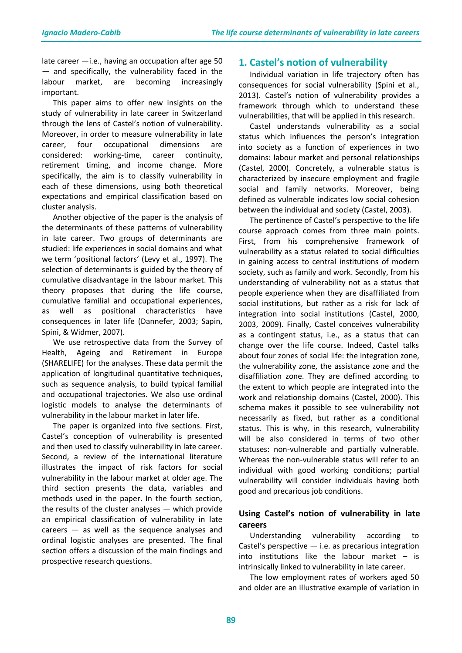late career —i.e., having an occupation after age 50 — and specifically, the vulnerability faced in the labour market, are becoming increasingly important.

This paper aims to offer new insights on the study of vulnerability in late career in Switzerland through the lens of Castel's notion of vulnerability. Moreover, in order to measure vulnerability in late career, four occupational dimensions are considered: working-time, career continuity, retirement timing, and income change. More specifically, the aim is to classify vulnerability in each of these dimensions, using both theoretical expectations and empirical classification based on cluster analysis.

Another objective of the paper is the analysis of the determinants of these patterns of vulnerability in late career. Two groups of determinants are studied: life experiences in social domains and what we term 'positional factors' (Levy et al., 1997). The selection of determinants is guided by the theory of cumulative disadvantage in the labour market. This theory proposes that during the life course, cumulative familial and occupational experiences, as well as positional characteristics have consequences in later life (Dannefer, 2003; Sapin, Spini, & Widmer, 2007).

We use retrospective data from the Survey of Health, Ageing and Retirement in Europe (SHARELIFE) for the analyses. These data permit the application of longitudinal quantitative techniques, such as sequence analysis, to build typical familial and occupational trajectories. We also use ordinal logistic models to analyse the determinants of vulnerability in the labour market in later life.

The paper is organized into five sections. First, Castel's conception of vulnerability is presented and then used to classify vulnerability in late career. Second, a review of the international literature illustrates the impact of risk factors for social vulnerability in the labour market at older age. The third section presents the data, variables and methods used in the paper. In the fourth section, the results of the cluster analyses — which provide an empirical classification of vulnerability in late careers — as well as the sequence analyses and ordinal logistic analyses are presented. The final section offers a discussion of the main findings and prospective research questions.

## **1. Castel's notion of vulnerability**

Individual variation in life trajectory often has consequences for social vulnerability (Spini et al., 2013). Castel's notion of vulnerability provides a framework through which to understand these vulnerabilities, that will be applied in this research.

Castel understands vulnerability as a social status which influences the person's integration into society as a function of experiences in two domains: labour market and personal relationships (Castel, 2000). Concretely, a vulnerable status is characterized by insecure employment and fragile social and family networks. Moreover, being defined as vulnerable indicates low social cohesion between the individual and society (Castel, 2003).

The pertinence of Castel's perspective to the life course approach comes from three main points. First, from his comprehensive framework of vulnerability as a status related to social difficulties in gaining access to central institutions of modern society, such as family and work. Secondly, from his understanding of vulnerability not as a status that people experience when they are disaffiliated from social institutions, but rather as a risk for lack of integration into social institutions (Castel, 2000, 2003, 2009). Finally, Castel conceives vulnerability as a contingent status, i.e., as a status that can change over the life course. Indeed, Castel talks about four zones of social life: the integration zone, the vulnerability zone, the assistance zone and the disaffiliation zone. They are defined according to the extent to which people are integrated into the work and relationship domains (Castel, 2000). This schema makes it possible to see vulnerability not necessarily as fixed, but rather as a conditional status. This is why, in this research, vulnerability will be also considered in terms of two other statuses: non-vulnerable and partially vulnerable. Whereas the non-vulnerable status will refer to an individual with good working conditions; partial vulnerability will consider individuals having both good and precarious job conditions.

## **Using Castel's notion of vulnerability in late careers**

Understanding vulnerability according to Castel's perspective — i.e. as precarious integration into institutions like the labour market  $-$  is intrinsically linked to vulnerability in late career.

The low employment rates of workers aged 50 and older are an illustrative example of variation in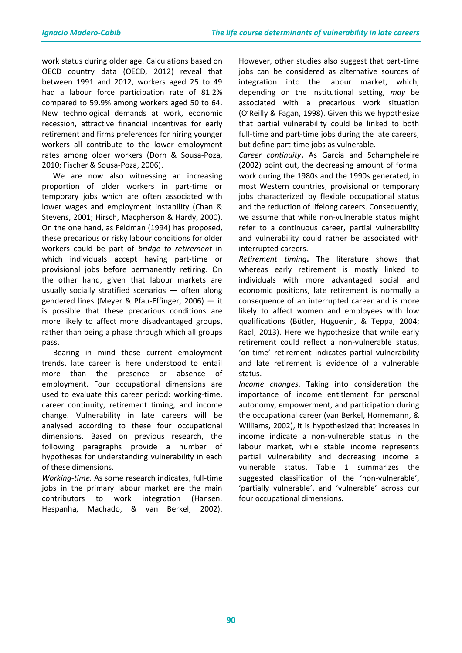work status during older age. Calculations based on OECD country data (OECD, 2012) reveal that between 1991 and 2012, workers aged 25 to 49 had a labour force participation rate of 81.2% compared to 59.9% among workers aged 50 to 64. New technological demands at work, economic recession, attractive financial incentives for early retirement and firms preferences for hiring younger workers all contribute to the lower employment rates among older workers (Dorn & Sousa-Poza, 2010; Fischer & Sousa-Poza, 2006).

We are now also witnessing an increasing proportion of older workers in part-time or temporary jobs which are often associated with lower wages and employment instability (Chan & Stevens, 2001; Hirsch, Macpherson & Hardy, 2000). On the one hand, as Feldman (1994) has proposed, these precarious or risky labour conditions for older workers could be part of *bridge to retirement* in which individuals accept having part-time or provisional jobs before permanently retiring. On the other hand, given that labour markets are usually socially stratified scenarios — often along gendered lines (Meyer & Pfau-Effinger, 2006) — it is possible that these precarious conditions are more likely to affect more disadvantaged groups, rather than being a phase through which all groups pass.

Bearing in mind these current employment trends, late career is here understood to entail more than the presence or absence of employment. Four occupational dimensions are used to evaluate this career period: working-time, career continuity, retirement timing, and income change. Vulnerability in late careers will be analysed according to these four occupational dimensions. Based on previous research, the following paragraphs provide a number of hypotheses for understanding vulnerability in each of these dimensions.

*Working-time.* As some research indicates, full-time jobs in the primary labour market are the main contributors to work integration (Hansen, Hespanha, Machado, & van Berkel, 2002).

However, other studies also suggest that part-time jobs can be considered as alternative sources of integration into the labour market, which, depending on the institutional setting, *may* be associated with a precarious work situation (O'Reilly & Fagan, 1998). Given this we hypothesize that partial vulnerability could be linked to both full-time and part-time jobs during the late careers, but define part-time jobs as vulnerable.

*Career continuity***.** As García and Schampheleire (2002) point out, the decreasing amount of formal work during the 1980s and the 1990s generated, in most Western countries, provisional or temporary jobs characterized by flexible occupational status and the reduction of lifelong careers. Consequently, we assume that while non-vulnerable status might refer to a continuous career, partial vulnerability and vulnerability could rather be associated with interrupted careers.

*Retirement timing***.** The literature shows that whereas early retirement is mostly linked to individuals with more advantaged social and economic positions, late retirement is normally a consequence of an interrupted career and is more likely to affect women and employees with low qualifications (Bütler, Huguenin, & Teppa, 2004; Radl, 2013). Here we hypothesize that while early retirement could reflect a non-vulnerable status, 'on-time' retirement indicates partial vulnerability and late retirement is evidence of a vulnerable status.

*Income changes*. Taking into consideration the importance of income entitlement for personal autonomy, empowerment, and participation during the occupational career (van Berkel, Hornemann, & Williams, 2002), it is hypothesized that increases in income indicate a non-vulnerable status in the labour market, while stable income represents partial vulnerability and decreasing income a vulnerable status. Table 1 summarizes the suggested classification of the 'non-vulnerable', 'partially vulnerable', and 'vulnerable' across our four occupational dimensions.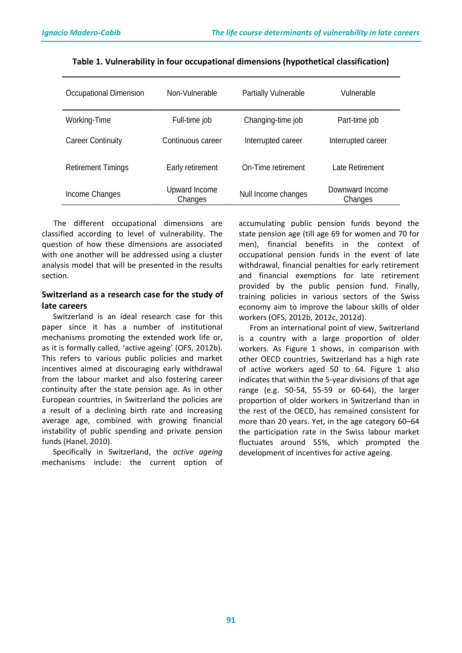| Occupational Dimension    | Non-Vulnerable           | <b>Partially Vulnerable</b> | Vulnerable                 |
|---------------------------|--------------------------|-----------------------------|----------------------------|
| Working-Time              | Full-time job            | Changing-time job           | Part-time job              |
| <b>Career Continuity</b>  | Continuous career        | Interrupted career          | Interrupted career         |
| <b>Retirement Timings</b> | Early retirement         | On-Time retirement          | Late Retirement            |
| Income Changes            | Upward Income<br>Changes | Null Income changes         | Downward Income<br>Changes |

#### **Table 1. Vulnerability in four occupational dimensions (hypothetical classification)**

 The different occupational dimensions are classified according to level of vulnerability. The question of how these dimensions are associated with one another will be addressed using a cluster analysis model that will be presented in the results section.

## **Switzerland as a research case for the study of late careers**

Switzerland is an ideal research case for this paper since it has a number of institutional mechanisms promoting the extended work life or, as it is formally called, 'active ageing' (OFS, 2012b). This refers to various public policies and market incentives aimed at discouraging early withdrawal from the labour market and also fostering career continuity after the state pension age. As in other European countries, in Switzerland the policies are a result of a declining birth rate and increasing average age, combined with growing financial instability of public spending and private pension funds (Hanel, 2010).

Specifically in Switzerland, the *active ageing* mechanisms include: the current option of accumulating public pension funds beyond the state pension age (till age 69 for women and 70 for men), financial benefits in the context of occupational pension funds in the event of late withdrawal, financial penalties for early retirement and financial exemptions for late retirement provided by the public pension fund. Finally, training policies in various sectors of the Swiss economy aim to improve the labour skills of older workers (OFS, 2012b, 2012c, 2012d).

From an international point of view, Switzerland is a country with a large proportion of older workers. As Figure 1 shows, in comparison with other OECD countries, Switzerland has a high rate of active workers aged 50 to 64. Figure 1 also indicates that within the 5-year divisions of that age range (e.g. 50-54, 55-59 or 60-64), the larger proportion of older workers in Switzerland than in the rest of the OECD, has remained consistent for more than 20 years. Yet, in the age category 60–64 the participation rate in the Swiss labour market fluctuates around 55%, which prompted the development of incentives for active ageing.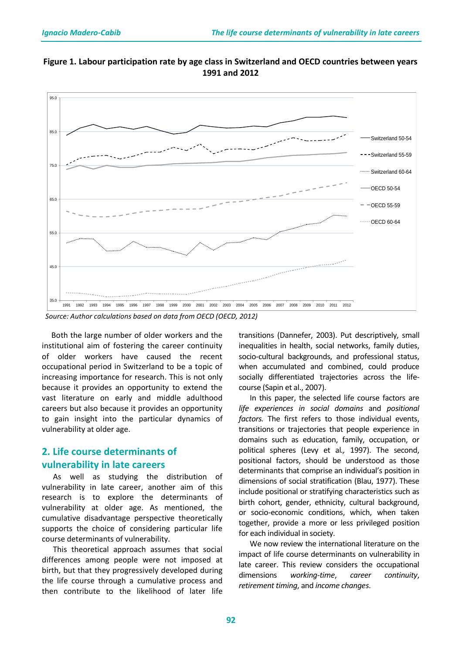



 *Source: Author calculations based on data from OECD (OECD, 2012)*

 Both the large number of older workers and the institutional aim of fostering the career continuity of older workers have caused the recent occupational period in Switzerland to be a topic of increasing importance for research. This is not only because it provides an opportunity to extend the vast literature on early and middle adulthood careers but also because it provides an opportunity to gain insight into the particular dynamics of vulnerability at older age.

## **2. Life course determinants of vulnerability in late careers**

As well as studying the distribution of vulnerability in late career, another aim of this research is to explore the determinants of vulnerability at older age. As mentioned, the cumulative disadvantage perspective theoretically supports the choice of considering particular life course determinants of vulnerability.

This theoretical approach assumes that social differences among people were not imposed at birth, but that they progressively developed during the life course through a cumulative process and then contribute to the likelihood of later life

transitions (Dannefer, 2003). Put descriptively, small inequalities in health, social networks, family duties, socio-cultural backgrounds, and professional status, when accumulated and combined, could produce socially differentiated trajectories across the lifecourse (Sapin et al., 2007).

In this paper, the selected life course factors are *life experiences in social domains* and *positional factors.* The first refers to those individual events, transitions or trajectories that people experience in domains such as education, family, occupation, or political spheres (Levy et al*.,* 1997). The second, positional factors, should be understood as those determinants that comprise an individual's position in dimensions of social stratification (Blau, 1977). These include positional or stratifying characteristics such as birth cohort, gender, ethnicity, cultural background, or socio-economic conditions, which, when taken together, provide a more or less privileged position for each individual in society.

We now review the international literature on the impact of life course determinants on vulnerability in late career. This review considers the occupational dimensions *working-time*, *career continuity*, *retirement timing*, and *income changes*.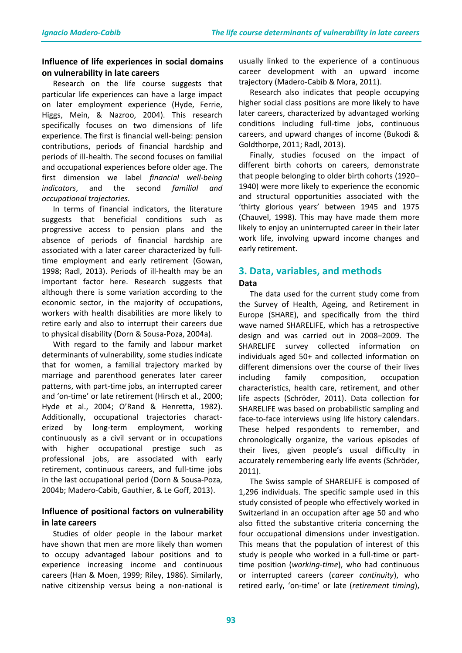## **Influence of life experiences in social domains on vulnerability in late careers**

Research on the life course suggests that particular life experiences can have a large impact on later employment experience (Hyde, Ferrie, Higgs, Mein, & Nazroo, 2004). This research specifically focuses on two dimensions of life experience. The first is financial well-being: pension contributions, periods of financial hardship and periods of ill-health. The second focuses on familial and occupational experiences before older age. The first dimension we label *financial well-being indicators*, and the second *familial and occupational trajectories*.

In terms of financial indicators, the literature suggests that beneficial conditions such as progressive access to pension plans and the absence of periods of financial hardship are associated with a later career characterized by fulltime employment and early retirement (Gowan, 1998; Radl, 2013). Periods of ill-health may be an important factor here. Research suggests that although there is some variation according to the economic sector, in the majority of occupations, workers with health disabilities are more likely to retire early and also to interrupt their careers due to physical disability (Dorn & Sousa-Poza, 2004a).

With regard to the family and labour market determinants of vulnerability, some studies indicate that for women, a familial trajectory marked by marriage and parenthood generates later career patterns, with part-time jobs, an interrupted career and 'on-time' or late retirement (Hirsch et al., 2000; Hyde et al., 2004; O'Rand & Henretta, 1982). Additionally, occupational trajectories characterized by long-term employment, working continuously as a civil servant or in occupations with higher occupational prestige such as professional jobs, are associated with early retirement, continuous careers, and full-time jobs in the last occupational period (Dorn & Sousa-Poza, 2004b; Madero-Cabib, Gauthier, & Le Goff, 2013).

## **Influence of positional factors on vulnerability in late careers**

Studies of older people in the labour market have shown that men are more likely than women to occupy advantaged labour positions and to experience increasing income and continuous careers (Han & Moen, 1999; Riley, 1986). Similarly, native citizenship versus being a non-national is

usually linked to the experience of a continuous career development with an upward income trajectory (Madero-Cabib & Mora, 2011).

Research also indicates that people occupying higher social class positions are more likely to have later careers, characterized by advantaged working conditions including full-time jobs, continuous careers, and upward changes of income (Bukodi & Goldthorpe, 2011; Radl, 2013).

Finally, studies focused on the impact of different birth cohorts on careers, demonstrate that people belonging to older birth cohorts (1920– 1940) were more likely to experience the economic and structural opportunities associated with the 'thirty glorious years' between 1945 and 1975 (Chauvel, 1998). This may have made them more likely to enjoy an uninterrupted career in their later work life, involving upward income changes and early retirement.

# **3. Data, variables, and methods**

#### **Data**

The data used for the current study come from the Survey of Health, Ageing, and Retirement in Europe (SHARE), and specifically from the third wave named SHARELIFE, which has a retrospective design and was carried out in 2008–2009. The SHARELIFE survey collected information on individuals aged 50+ and collected information on different dimensions over the course of their lives including family composition, occupation characteristics, health care, retirement, and other life aspects (Schröder, 2011). Data collection for SHARELIFE was based on probabilistic sampling and face-to-face interviews using life history calendars. These helped respondents to remember, and chronologically organize, the various episodes of their lives, given people's usual difficulty in accurately remembering early life events (Schröder, 2011).

The Swiss sample of SHARELIFE is composed of 1,296 individuals. The specific sample used in this study consisted of people who effectively worked in Switzerland in an occupation after age 50 and who also fitted the substantive criteria concerning the four occupational dimensions under investigation. This means that the population of interest of this study is people who worked in a full-time or parttime position (*working-time*), who had continuous or interrupted careers (*career continuity*), who retired early, 'on-time' or late (*retirement timing*),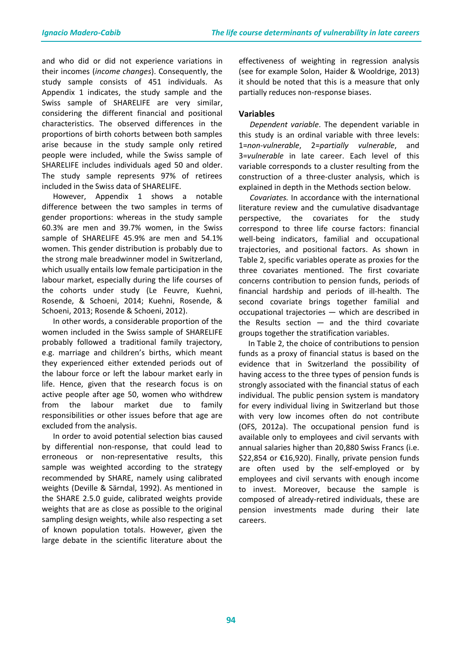and who did or did not experience variations in their incomes (*income changes*). Consequently, the study sample consists of 451 individuals. As Appendix 1 indicates, the study sample and the Swiss sample of SHARELIFE are very similar, considering the different financial and positional characteristics. The observed differences in the proportions of birth cohorts between both samples arise because in the study sample only retired people were included, while the Swiss sample of SHARELIFE includes individuals aged 50 and older. The study sample represents 97% of retirees included in the Swiss data of SHARELIFE.

However, Appendix 1 shows a notable difference between the two samples in terms of gender proportions: whereas in the study sample 60.3% are men and 39.7% women, in the Swiss sample of SHARELIFE 45.9% are men and 54.1% women. This gender distribution is probably due to the strong male breadwinner model in Switzerland, which usually entails low female participation in the labour market, especially during the life courses of the cohorts under study (Le Feuvre, Kuehni, Rosende, & Schoeni, 2014; Kuehni, Rosende, & Schoeni, 2013; Rosende & Schoeni, 2012).

In other words, a considerable proportion of the women included in the Swiss sample of SHARELIFE probably followed a traditional family trajectory, e.g. marriage and children's births, which meant they experienced either extended periods out of the labour force or left the labour market early in life. Hence, given that the research focus is on active people after age 50, women who withdrew from the labour market due to family responsibilities or other issues before that age are excluded from the analysis.

In order to avoid potential selection bias caused by differential non-response, that could lead to erroneous or non-representative results, this sample was weighted according to the strategy recommended by SHARE, namely using calibrated weights (Deville & Särndal, 1992). As mentioned in the SHARE 2.5.0 guide, calibrated weights provide weights that are as close as possible to the original sampling design weights, while also respecting a set of known population totals. However, given the large debate in the scientific literature about the

effectiveness of weighting in regression analysis (see for example Solon, Haider & Wooldrige, 2013) it should be noted that this is a measure that only partially reduces non-response biases.

## **Variables**

*Dependent variable*. The dependent variable in this study is an ordinal variable with three levels: 1=*non-vulnerable*, 2=*partially vulnerable*, and 3=*vulnerable* in late career. Each level of this variable corresponds to a cluster resulting from the construction of a three-cluster analysis, which is explained in depth in the Methods section below.

*Covariates.* In accordance with the international literature review and the cumulative disadvantage perspective, the covariates for the study correspond to three life course factors: financial well-being indicators, familial and occupational trajectories, and positional factors. As shown in Table 2, specific variables operate as proxies for the three covariates mentioned. The first covariate concerns contribution to pension funds, periods of financial hardship and periods of ill-health. The second covariate brings together familial and occupational trajectories — which are described in the Results section  $-$  and the third covariate groups together the stratification variables.

 In Table 2, the choice of contributions to pension funds as a proxy of financial status is based on the evidence that in Switzerland the possibility of having access to the three types of pension funds is strongly associated with the financial status of each individual*.* The public pension system is mandatory for every individual living in Switzerland but those with very low incomes often do not contribute (OFS, 2012a). The occupational pension fund is available only to employees and civil servants with annual salaries higher than 20,880 Swiss Francs (i.e. \$22,854 or €16,920). Finally, private pension funds are often used by the self-employed or by employees and civil servants with enough income to invest. Moreover, because the sample is composed of already-retired individuals, these are pension investments made during their late careers.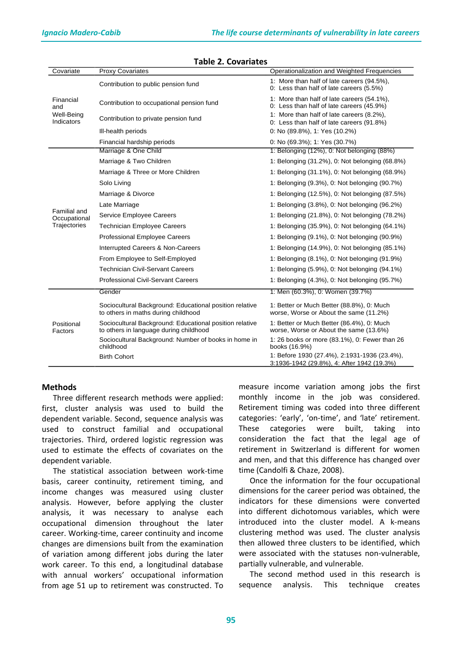| Covariate                                    | <b>Proxy Covariates</b>                                                                           | Operationalization and Weighted Frequencies                                                |
|----------------------------------------------|---------------------------------------------------------------------------------------------------|--------------------------------------------------------------------------------------------|
| Financial<br>and<br>Well-Being<br>Indicators | Contribution to public pension fund                                                               | 1: More than half of late careers (94.5%),<br>0: Less than half of late careers (5.5%)     |
|                                              | Contribution to occupational pension fund                                                         | 1: More than half of late careers (54.1%),<br>0: Less than half of late careers (45.9%)    |
|                                              | Contribution to private pension fund                                                              | 1: More than half of late careers (8.2%),<br>0: Less than half of late careers (91.8%)     |
|                                              | III-health periods                                                                                | 0: No (89.8%), 1: Yes (10.2%)                                                              |
|                                              | Financial hardship periods                                                                        | 0: No (69.3%); 1: Yes (30.7%)                                                              |
|                                              | Marriage & One Child                                                                              | 1: Belonging (12%), 0: Not belonging (88%)                                                 |
|                                              | Marriage & Two Children                                                                           | 1: Belonging (31.2%), 0: Not belonging (68.8%)                                             |
|                                              | Marriage & Three or More Children                                                                 | 1: Belonging (31.1%), 0: Not belonging (68.9%)                                             |
|                                              | Solo Living                                                                                       | 1: Belonging (9.3%), 0: Not belonging (90.7%)                                              |
| <b>Familial and</b><br>Occupational          | Marriage & Divorce                                                                                | 1: Belonging (12.5%), 0: Not belonging (87.5%)                                             |
|                                              | Late Marriage                                                                                     | 1: Belonging (3.8%), 0: Not belonging (96.2%)                                              |
|                                              | Service Employee Careers                                                                          | 1: Belonging (21.8%), 0: Not belonging (78.2%)                                             |
| Trajectories                                 | <b>Technician Employee Careers</b>                                                                | 1. Belonging (35.9%), 0. Not belonging (64.1%)                                             |
|                                              | <b>Professional Employee Careers</b>                                                              | 1: Belonging (9.1%), 0: Not belonging (90.9%)                                              |
|                                              | Interrupted Careers & Non-Careers                                                                 | 1. Belonging (14.9%), 0. Not belonging (85.1%)                                             |
|                                              | From Employee to Self-Employed                                                                    | 1: Belonging (8.1%), 0: Not belonging (91.9%)                                              |
|                                              | <b>Technician Civil-Servant Careers</b>                                                           | 1: Belonging (5.9%), 0: Not belonging (94.1%)                                              |
|                                              | <b>Professional Civil-Servant Careers</b>                                                         | 1: Belonging (4.3%), 0: Not belonging (95.7%)                                              |
|                                              | Gender                                                                                            | 1: Men (60.3%), 0: Women (39.7%)                                                           |
| Positional<br>Factors                        | Sociocultural Background: Educational position relative<br>to others in maths during childhood    | 1: Better or Much Better (88.8%), 0: Much<br>worse, Worse or About the same (11.2%)        |
|                                              | Sociocultural Background: Educational position relative<br>to others in language during childhood | 1: Better or Much Better (86.4%), 0: Much<br>worse, Worse or About the same (13.6%)        |
|                                              | Sociocultural Background: Number of books in home in<br>childhood                                 | 1: 26 books or more (83.1%), 0: Fewer than 26<br>books (16.9%)                             |
|                                              | <b>Birth Cohort</b>                                                                               | 1: Before 1930 (27.4%), 2:1931-1936 (23.4%),<br>3:1936-1942 (29.8%), 4: After 1942 (19.3%) |

#### **Table 2. Covariates**

#### **Methods**

Three different research methods were applied: first, cluster analysis was used to build the dependent variable. Second, sequence analysis was used to construct familial and occupational trajectories. Third, ordered logistic regression was used to estimate the effects of covariates on the dependent variable.

The statistical association between work-time basis, career continuity, retirement timing, and income changes was measured using cluster analysis. However, before applying the cluster analysis, it was necessary to analyse each occupational dimension throughout the later career. Working-time, career continuity and income changes are dimensions built from the examination of variation among different jobs during the later work career. To this end, a longitudinal database with annual workers' occupational information from age 51 up to retirement was constructed. To measure income variation among jobs the first monthly income in the job was considered. Retirement timing was coded into three different categories: 'early', 'on-time', and 'late' retirement. These categories were built, taking into consideration the fact that the legal age of retirement in Switzerland is different for women and men, and that this difference has changed over time (Candolfi & Chaze, 2008).

Once the information for the four occupational dimensions for the career period was obtained, the indicators for these dimensions were converted into different dichotomous variables, which were introduced into the cluster model. A k-means clustering method was used. The cluster analysis then allowed three clusters to be identified, which were associated with the statuses non-vulnerable, partially vulnerable, and vulnerable.

The second method used in this research is sequence analysis. This technique creates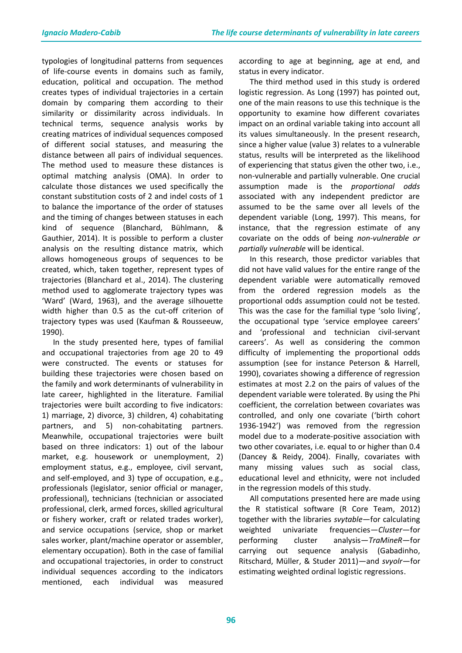typologies of longitudinal patterns from sequences of life-course events in domains such as family, education, political and occupation. The method creates types of individual trajectories in a certain domain by comparing them according to their similarity or dissimilarity across individuals. In technical terms, sequence analysis works by creating matrices of individual sequences composed of different social statuses, and measuring the distance between all pairs of individual sequences. The method used to measure these distances is optimal matching analysis (OMA). In order to calculate those distances we used specifically the constant substitution costs of 2 and indel costs of 1 to balance the importance of the order of statuses and the timing of changes between statuses in each kind of sequence (Blanchard, Bühlmann, & Gauthier, 2014). It is possible to perform a cluster analysis on the resulting distance matrix, which allows homogeneous groups of sequences to be created, which, taken together, represent types of trajectories (Blanchard et al., 2014). The clustering method used to agglomerate trajectory types was 'Ward' (Ward, 1963), and the average silhouette width higher than 0.5 as the cut-off criterion of trajectory types was used (Kaufman & Rousseeuw, 1990).

In the study presented here, types of familial and occupational trajectories from age 20 to 49 were constructed. The events or statuses for building these trajectories were chosen based on the family and work determinants of vulnerability in late career, highlighted in the literature. Familial trajectories were built according to five indicators: 1) marriage, 2) divorce, 3) children, 4) cohabitating partners, and 5) non-cohabitating partners. Meanwhile, occupational trajectories were built based on three indicators: 1) out of the labour market, e.g. housework or unemployment, 2) employment status, e.g., employee, civil servant, and self-employed, and 3) type of occupation, e.g., professionals (legislator, senior official or manager, professional), technicians (technician or associated professional, clerk, armed forces, skilled agricultural or fishery worker, craft or related trades worker), and service occupations (service, shop or market sales worker, plant/machine operator or assembler, elementary occupation). Both in the case of familial and occupational trajectories, in order to construct individual sequences according to the indicators mentioned, each individual was measured

according to age at beginning, age at end, and status in every indicator.

The third method used in this study is ordered logistic regression. As Long (1997) has pointed out, one of the main reasons to use this technique is the opportunity to examine how different covariates impact on an ordinal variable taking into account all its values simultaneously. In the present research, since a higher value (value 3) relates to a vulnerable status, results will be interpreted as the likelihood of experiencing that status given the other two, i.e., non-vulnerable and partially vulnerable. One crucial assumption made is the *proportional odds* associated with any independent predictor are assumed to be the same over all levels of the dependent variable (Long, 1997). This means, for instance, that the regression estimate of any covariate on the odds of being *non-vulnerable or partially vulnerable* will be identical.

In this research, those predictor variables that did not have valid values for the entire range of the dependent variable were automatically removed from the ordered regression models as the proportional odds assumption could not be tested. This was the case for the familial type 'solo living', the occupational type 'service employee careers' and 'professional and technician civil-servant careers'. As well as considering the common difficulty of implementing the proportional odds assumption (see for instance Peterson & Harrell, 1990), covariates showing a difference of regression estimates at most 2.2 on the pairs of values of the dependent variable were tolerated. By using the Phi coefficient, the correlation between covariates was controlled, and only one covariate ('birth cohort 1936-1942') was removed from the regression model due to a moderate-positive association with two other covariates, i.e. equal to or higher than 0.4 (Dancey & Reidy, 2004). Finally, covariates with many missing values such as social class, educational level and ethnicity, were not included in the regression models of this study.

All computations presented here are made using the R statistical software (R Core Team, 2012) together with the libraries *svytable*—for calculating weighted univariate frequencies—*Cluster*—for performing cluster analysis—*TraMineR*—for carrying out sequence analysis (Gabadinho, Ritschard, Müller, & Studer 2011)*—*and *svyolr—*for estimating weighted ordinal logistic regressions.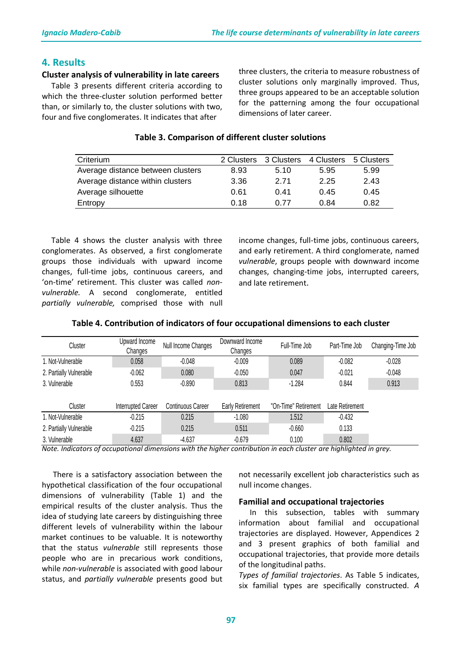## **4. Results**

#### **Cluster analysis of vulnerability in late careers**

 Table 3 presents different criteria according to which the three-cluster solution performed better than, or similarly to, the cluster solutions with two, four and five conglomerates. It indicates that after

three clusters, the criteria to measure robustness of cluster solutions only marginally improved. Thus, three groups appeared to be an acceptable solution for the patterning among the four occupational dimensions of later career.

| Criterium                         | 2 Clusters | 3 Clusters | 4 Clusters | 5 Clusters |
|-----------------------------------|------------|------------|------------|------------|
| Average distance between clusters | 8.93       | 5.10       | 5.95       | 5.99       |
| Average distance within clusters  | 3.36       | 2 71       | 2.25       | 2.43       |
| Average silhouette                | 0.61       | 0.41       | 0.45       | 0.45       |
| Entropy                           | 0.18       | 0.77       | 0.84       | 0.82       |

## **Table 3. Comparison of different cluster solutions**

 Table 4 shows the cluster analysis with three conglomerates. As observed, a first conglomerate groups those individuals with upward income changes, full-time jobs, continuous careers, and 'on-time' retirement. This cluster was called *nonvulnerable.* A second conglomerate, entitled *partially vulnerable,* comprised those with null income changes, full-time jobs, continuous careers, and early retirement. A third conglomerate, named *vulnerable*, groups people with downward income changes, changing-time jobs, interrupted careers, and late retirement.

| Cluster                 | Upward Income<br>Changes  | Null Income Changes      | Downward Income<br>Changes | Full-Time Job        | Part-Time Job   | Changing-Time Job |
|-------------------------|---------------------------|--------------------------|----------------------------|----------------------|-----------------|-------------------|
| 1. Not-Vulnerable       | 0.058                     | $-0.048$                 | $-0.009$                   | 0.089                | $-0.082$        | $-0.028$          |
| 2. Partially Vulnerable | $-0.062$                  | 0.080                    | $-0.050$                   | 0.047                | $-0.021$        | $-0.048$          |
| 3. Vulnerable           | 0.553                     | $-0.890$                 | 0.813                      | $-1.284$             | 0.844           | 0.913             |
|                         |                           |                          |                            |                      |                 |                   |
| Cluster                 | <b>Interrupted Career</b> | <b>Continuous Career</b> | Early Retirement           | "On-Time" Retirement | Late Retirement |                   |
| 1. Not-Vulnerable       | $-0.215$                  | 0.215                    | $-1.080$                   | 1.512                | $-0.432$        |                   |
| 2. Partially Vulnerable | $-0.215$                  | 0.215                    | 0.511                      | $-0.660$             | 0.133           |                   |
| 3. Vulnerable           | 4.637                     | $-4.637$                 | $-0.679$                   | 0.100                | 0.802           |                   |

#### **Table 4. Contribution of indicators of four occupational dimensions to each cluster**

*Note. Indicators of occupational dimensions with the higher contribution in each cluster are highlighted in grey.*

There is a satisfactory association between the hypothetical classification of the four occupational dimensions of vulnerability (Table 1) and the empirical results of the cluster analysis. Thus the idea of studying late careers by distinguishing three different levels of vulnerability within the labour market continues to be valuable. It is noteworthy that the status *vulnerable* still represents those people who are in precarious work conditions, while *non-vulnerable* is associated with good labour status, and *partially vulnerable* presents good but

not necessarily excellent job characteristics such as null income changes.

#### **Familial and occupational trajectories**

In this subsection, tables with summary information about familial and occupational trajectories are displayed. However, Appendices 2 and 3 present graphics of both familial and occupational trajectories, that provide more details of the longitudinal paths.

*Types of familial trajectories*. As Table 5 indicates, six familial types are specifically constructed. *A*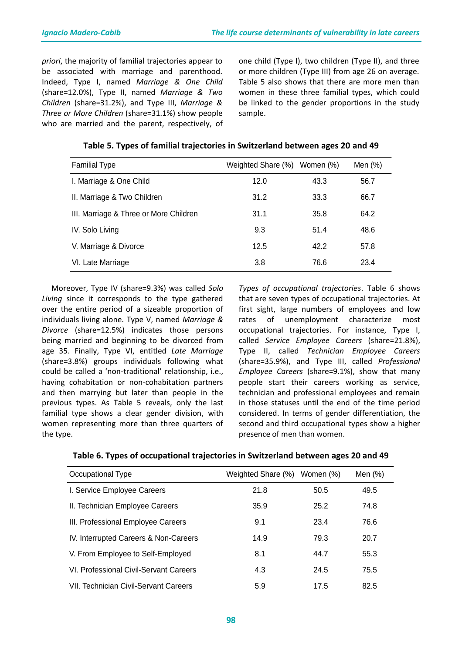*priori*, the majority of familial trajectories appear to be associated with marriage and parenthood. Indeed, Type I, named *Marriage & One Child* (share=12.0%), Type II, named *Marriage & Two Children* (share=31.2%), and Type III, *Marriage & Three or More Children* (share=31.1%) show people who are married and the parent, respectively, of one child (Type I), two children (Type II), and three or more children (Type III) from age 26 on average. Table 5 also shows that there are more men than women in these three familial types, which could be linked to the gender proportions in the study sample.

| <b>Familial Type</b>                   | Weighted Share (%) | Women (%) | Men $(\%)$ |
|----------------------------------------|--------------------|-----------|------------|
| I. Marriage & One Child                | 12.0               | 43.3      | 56.7       |
| II. Marriage & Two Children            | 31.2               | 33.3      | 66.7       |
| III. Marriage & Three or More Children | 31.1               | 35.8      | 64.2       |
| IV. Solo Living                        | 9.3                | 51.4      | 48.6       |
| V. Marriage & Divorce                  | 12.5               | 42.2      | 57.8       |
| VI. Late Marriage                      | 3.8                | 76.6      | 23.4       |

## **Table 5. Types of familial trajectories in Switzerland between ages 20 and 49**

 Moreover, Type IV (share=9.3%) was called *Solo Living* since it corresponds to the type gathered over the entire period of a sizeable proportion of individuals living alone. Type V, named *Marriage & Divorce* (share=12.5%) indicates those persons being married and beginning to be divorced from age 35. Finally, Type VI, entitled *Late Marriage*  (share=3.8%) groups individuals following what could be called a 'non-traditional' relationship, i.e., having cohabitation or non-cohabitation partners and then marrying but later than people in the previous types. As Table 5 reveals, only the last familial type shows a clear gender division, with women representing more than three quarters of the type.

*Types of occupational trajectories*. Table 6 shows that are seven types of occupational trajectories. At first sight, large numbers of employees and low rates of unemployment characterize most occupational trajectories. For instance, Type I, called *Service Employee Careers* (share=21.8%), Type II, called *Technician Employee Careers*  (share=35.9%), and Type III, called *Professional Employee Careers* (share=9.1%), show that many people start their careers working as service, technician and professional employees and remain in those statuses until the end of the time period considered. In terms of gender differentiation, the second and third occupational types show a higher presence of men than women.

| Occupational Type                      | Weighted Share (%) | Women (%) | Men $(%)$ |
|----------------------------------------|--------------------|-----------|-----------|
| I. Service Employee Careers            | 21.8               | 50.5      | 49.5      |
| II. Technician Employee Careers        | 35.9               | 25.2      | 74.8      |
| III. Professional Employee Careers     | 9.1                | 23.4      | 76.6      |
| IV. Interrupted Careers & Non-Careers  | 14.9               | 79.3      | 20.7      |
| V. From Employee to Self-Employed      | 8.1                | 44.7      | 55.3      |
| VI. Professional Civil-Servant Careers | 4.3                | 24.5      | 75.5      |
| VII. Technician Civil-Servant Careers  | 5.9                | 17.5      | 82.5      |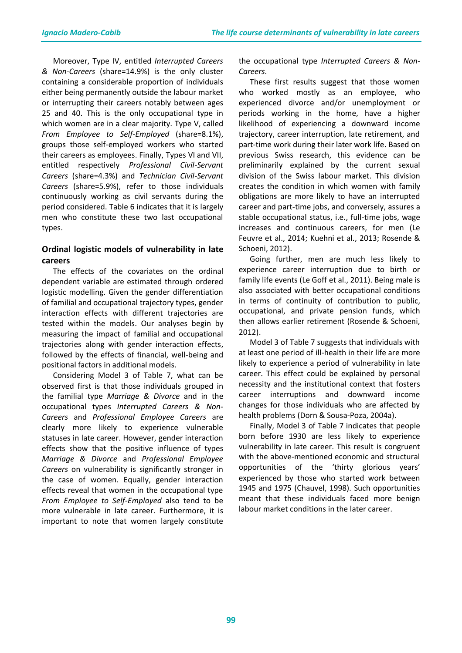Moreover, Type IV, entitled *Interrupted Careers & Non-Careers* (share=14.9%) is the only cluster containing a considerable proportion of individuals either being permanently outside the labour market or interrupting their careers notably between ages 25 and 40. This is the only occupational type in which women are in a clear majority. Type V, called *From Employee to Self-Employed* (share=8.1%), groups those self-employed workers who started their careers as employees. Finally, Types VI and VII, entitled respectively *Professional Civil-Servant Careers* (share=4.3%) and *Technician Civil-Servant Careers* (share=5.9%), refer to those individuals continuously working as civil servants during the period considered. Table 6 indicates that it is largely men who constitute these two last occupational types.

## **Ordinal logistic models of vulnerability in late careers**

The effects of the covariates on the ordinal dependent variable are estimated through ordered logistic modelling. Given the gender differentiation of familial and occupational trajectory types, gender interaction effects with different trajectories are tested within the models. Our analyses begin by measuring the impact of familial and occupational trajectories along with gender interaction effects, followed by the effects of financial, well-being and positional factors in additional models.

Considering Model 3 of Table 7, what can be observed first is that those individuals grouped in the familial type *Marriage & Divorce* and in the occupational types *Interrupted Careers & Non-Careers* and *Professional Employee Careers* are clearly more likely to experience vulnerable statuses in late career. However, gender interaction effects show that the positive influence of types *Marriage & Divorce* and *Professional Employee Careers* on vulnerability is significantly stronger in the case of women. Equally, gender interaction effects reveal that women in the occupational type *From Employee to Self-Employed* also tend to be more vulnerable in late career. Furthermore, it is important to note that women largely constitute

the occupational type *Interrupted Careers & Non-Careers*.

These first results suggest that those women who worked mostly as an employee, who experienced divorce and/or unemployment or periods working in the home, have a higher likelihood of experiencing a downward income trajectory, career interruption, late retirement, and part-time work during their later work life. Based on previous Swiss research, this evidence can be preliminarily explained by the current sexual division of the Swiss labour market. This division creates the condition in which women with family obligations are more likely to have an interrupted career and part-time jobs, and conversely, assures a stable occupational status, i.e., full-time jobs, wage increases and continuous careers, for men (Le Feuvre et al., 2014; Kuehni et al., 2013; Rosende & Schoeni, 2012).

Going further, men are much less likely to experience career interruption due to birth or family life events (Le Goff et al., 2011). Being male is also associated with better occupational conditions in terms of continuity of contribution to public, occupational, and private pension funds, which then allows earlier retirement (Rosende & Schoeni, 2012).

Model 3 of Table 7 suggests that individuals with at least one period of ill-health in their life are more likely to experience a period of vulnerability in late career. This effect could be explained by personal necessity and the institutional context that fosters career interruptions and downward income changes for those individuals who are affected by health problems (Dorn & Sousa-Poza, 2004a).

Finally, Model 3 of Table 7 indicates that people born before 1930 are less likely to experience vulnerability in late career. This result is congruent with the above-mentioned economic and structural opportunities of the 'thirty glorious years' experienced by those who started work between 1945 and 1975 (Chauvel, 1998). Such opportunities meant that these individuals faced more benign labour market conditions in the later career.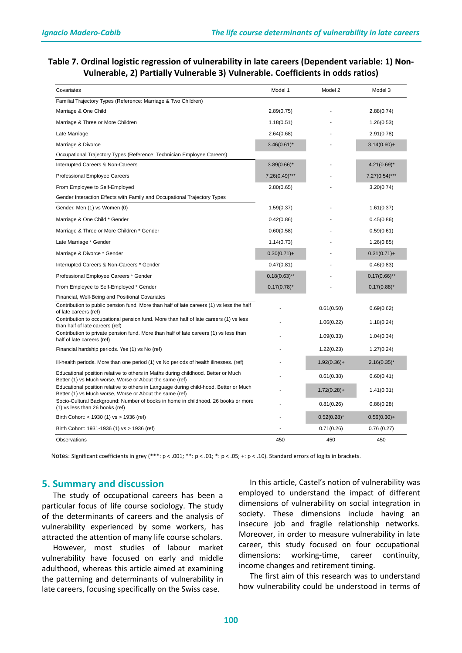## **Table 7. Ordinal logistic regression of vulnerability in late careers (Dependent variable: 1) Non-Vulnerable, 2) Partially Vulnerable 3) Vulnerable. Coefficients in odds ratios)**

| Covariates                                                                                                                                       | Model 1          | Model 2        | Model 3          |
|--------------------------------------------------------------------------------------------------------------------------------------------------|------------------|----------------|------------------|
| Familial Trajectory Types (Reference: Marriage & Two Children)                                                                                   |                  |                |                  |
| Marriage & One Child                                                                                                                             | 2.89(0.75)       |                | 2.88(0.74)       |
| Marriage & Three or More Children                                                                                                                | 1.18(0.51)       |                | 1.26(0.53)       |
| Late Marriage                                                                                                                                    | 2.64(0.68)       |                | 2.91(0.78)       |
| Marriage & Divorce                                                                                                                               | $3.46(0.61)$ *   |                | $3.14(0.60) +$   |
| Occupational Trajectory Types (Reference: Technician Employee Careers)                                                                           |                  |                |                  |
| Interrupted Careers & Non-Careers                                                                                                                | $3.89(0.66)$ *   |                | $4.21(0.69)$ *   |
| Professional Employee Careers                                                                                                                    | $7.26(0.49)$ *** |                | $7.27(0.54)$ *** |
| From Employee to Self-Employed                                                                                                                   | 2.80(0.65)       |                | 3.20(0.74)       |
| Gender Interaction Effects with Family and Occupational Trajectory Types                                                                         |                  |                |                  |
| Gender. Men (1) vs Women (0)                                                                                                                     | 1.59(0.37)       |                | 1.61(0.37)       |
| Marriage & One Child * Gender                                                                                                                    | 0.42(0.86)       |                | 0.45(0.86)       |
| Marriage & Three or More Children * Gender                                                                                                       | 0.60(0.58)       |                | 0.59(0.61)       |
| Late Marriage * Gender                                                                                                                           | 1.14(0.73)       |                | 1.26(0.85)       |
| Marriage & Divorce * Gender                                                                                                                      | $0.30(0.71)+$    |                | $0.31(0.71) +$   |
| Interrupted Careers & Non-Careers * Gender                                                                                                       | 0.47(0.81)       |                | 0.46(0.83)       |
| Professional Employee Careers * Gender                                                                                                           | $0.18(0.63)$ **  |                | $0.17(0.66)$ **  |
| From Employee to Self-Employed * Gender                                                                                                          | $0.17(0.78)^{*}$ |                | $0.17(0.88)^{*}$ |
| Financial, Well-Being and Positional Covariates                                                                                                  |                  |                |                  |
| Contribution to public pension fund. More than half of late careers (1) vs less the half<br>of late careers (ref)                                |                  | 0.61(0.50)     | 0.69(0.62)       |
| Contribution to occupational pension fund. More than half of late careers (1) vs less<br>than half of late careers (ref)                         |                  | 1.06(0.22)     | 1.18(0.24)       |
| Contribution to private pension fund. More than half of late careers (1) vs less than<br>half of late careers (ref)                              |                  | 1.09(0.33)     | 1.04(0.34)       |
| Financial hardship periods. Yes (1) vs No (ref)                                                                                                  |                  | 1.22(0.23)     | 1.27(0.24)       |
| Ill-health periods. More than one period (1) vs No periods of health illnesses. (ref)                                                            |                  | $1.92(0.36) +$ | $2.16(0.35)^{*}$ |
| Educational position relative to others in Maths during childhood. Better or Much<br>Better (1) vs Much worse, Worse or About the same (ref)     |                  | 0.61(0.38)     | 0.60(0.41)       |
| Educational position relative to others in Language during child-hood. Better or Much<br>Better (1) vs Much worse, Worse or About the same (ref) |                  | $1.72(0.28) +$ | 1.41(0.31)       |
| Socio-Cultural Background: Number of books in home in childhood. 26 books or more<br>(1) vs less than 26 books (ref)                             |                  | 0.81(0.26)     | 0.86(0.28)       |
| Birth Cohort: < 1930 (1) vs > 1936 (ref)                                                                                                         |                  | $0.52(0.28)$ * | $0.56(0.30) +$   |
| Birth Cohort: 1931-1936 (1) vs > 1936 (ref)                                                                                                      |                  | 0.71(0.26)     | 0.76(0.27)       |
| Observations                                                                                                                                     | 450              | 450            | 450              |

Notes: Significant coefficients in grey (\*\*\*: p < .001; \*\*: p < .01; \*: p < .05; +: p < .10). Standard errors of logits in brackets.

## **5. Summary and discussion**

The study of occupational careers has been a particular focus of life course sociology. The study of the determinants of careers and the analysis of vulnerability experienced by some workers, has attracted the attention of many life course scholars.

However, most studies of labour market vulnerability have focused on early and middle adulthood, whereas this article aimed at examining the patterning and determinants of vulnerability in late careers, focusing specifically on the Swiss case.

In this article, Castel's notion of vulnerability was employed to understand the impact of different dimensions of vulnerability on social integration in society. These dimensions include having an insecure job and fragile relationship networks. Moreover, in order to measure vulnerability in late career, this study focused on four occupational dimensions: working-time, career continuity, income changes and retirement timing.

The first aim of this research was to understand how vulnerability could be understood in terms of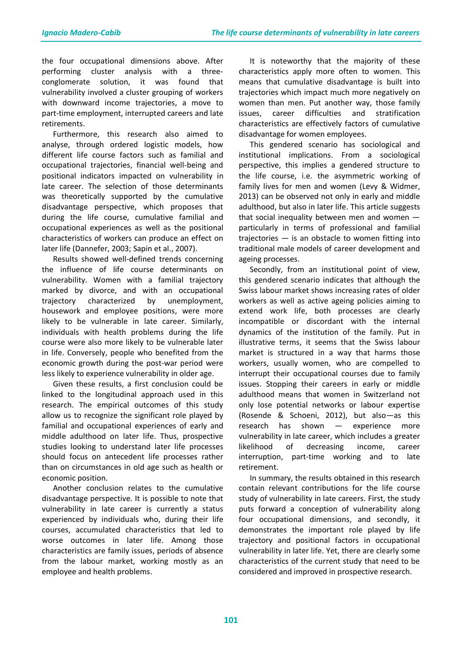the four occupational dimensions above. After performing cluster analysis with a threeconglomerate solution, it was found that vulnerability involved a cluster grouping of workers with downward income trajectories, a move to part-time employment, interrupted careers and late retirements.

Furthermore, this research also aimed to analyse, through ordered logistic models, how different life course factors such as familial and occupational trajectories, financial well-being and positional indicators impacted on vulnerability in late career. The selection of those determinants was theoretically supported by the cumulative disadvantage perspective, which proposes that during the life course, cumulative familial and occupational experiences as well as the positional characteristics of workers can produce an effect on later life (Dannefer, 2003; Sapin et al., 2007).

Results showed well-defined trends concerning the influence of life course determinants on vulnerability. Women with a familial trajectory marked by divorce, and with an occupational trajectory characterized by unemployment, housework and employee positions, were more likely to be vulnerable in late career. Similarly, individuals with health problems during the life course were also more likely to be vulnerable later in life. Conversely, people who benefited from the economic growth during the post-war period were less likely to experience vulnerability in older age.

Given these results, a first conclusion could be linked to the longitudinal approach used in this research. The empirical outcomes of this study allow us to recognize the significant role played by familial and occupational experiences of early and middle adulthood on later life. Thus, prospective studies looking to understand later life processes should focus on antecedent life processes rather than on circumstances in old age such as health or economic position.

Another conclusion relates to the cumulative disadvantage perspective. It is possible to note that vulnerability in late career is currently a status experienced by individuals who, during their life courses, accumulated characteristics that led to worse outcomes in later life. Among those characteristics are family issues, periods of absence from the labour market, working mostly as an employee and health problems.

It is noteworthy that the majority of these characteristics apply more often to women. This means that cumulative disadvantage is built into trajectories which impact much more negatively on women than men. Put another way, those family issues, career difficulties and stratification characteristics are effectively factors of cumulative disadvantage for women employees.

This gendered scenario has sociological and institutional implications. From a sociological perspective, this implies a gendered structure to the life course, i.e. the asymmetric working of family lives for men and women (Levy & Widmer, 2013) can be observed not only in early and middle adulthood, but also in later life. This article suggests that social inequality between men and women particularly in terms of professional and familial trajectories — is an obstacle to women fitting into traditional male models of career development and ageing processes.

Secondly, from an institutional point of view, this gendered scenario indicates that although the Swiss labour market shows increasing rates of older workers as well as active ageing policies aiming to extend work life, both processes are clearly incompatible or discordant with the internal dynamics of the institution of the family. Put in illustrative terms, it seems that the Swiss labour market is structured in a way that harms those workers, usually women, who are compelled to interrupt their occupational courses due to family issues. Stopping their careers in early or middle adulthood means that women in Switzerland not only lose potential networks or labour expertise (Rosende & Schoeni, 2012), but also—as this research has shown — experience more vulnerability in late career, which includes a greater likelihood of decreasing income, career interruption, part-time working and to late retirement.

In summary, the results obtained in this research contain relevant contributions for the life course study of vulnerability in late careers. First, the study puts forward a conception of vulnerability along four occupational dimensions, and secondly, it demonstrates the important role played by life trajectory and positional factors in occupational vulnerability in later life. Yet, there are clearly some characteristics of the current study that need to be considered and improved in prospective research.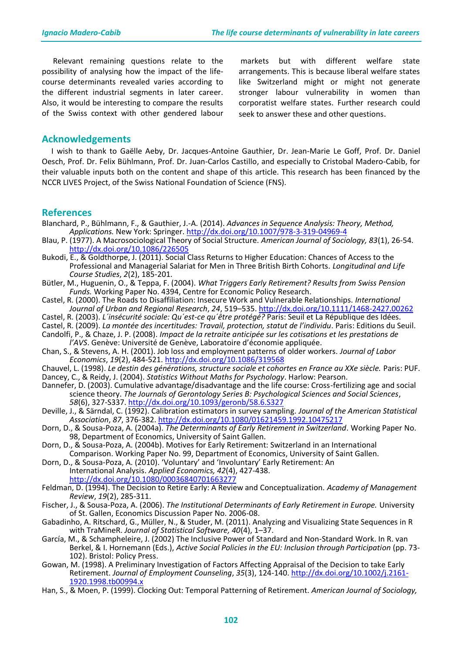Relevant remaining questions relate to the possibility of analysing how the impact of the lifecourse determinants revealed varies according to the different industrial segments in later career. Also, it would be interesting to compare the results of the Swiss context with other gendered labour

markets but with different welfare state arrangements. This is because liberal welfare states like Switzerland might or might not generate stronger labour vulnerability in women than corporatist welfare states. Further research could seek to answer these and other questions.

## **Acknowledgements**

 I wish to thank to Gaëlle Aeby, Dr. Jacques-Antoine Gauthier, Dr. Jean-Marie Le Goff, Prof. Dr. Daniel Oesch, Prof. Dr. Felix Bühlmann, Prof. Dr. Juan-Carlos Castillo, and especially to Cristobal Madero-Cabib, for their valuable inputs both on the content and shape of this article. This research has been financed by the NCCR LIVES Project, of the Swiss National Foundation of Science (FNS).

## **References**

- Blanchard, P., Bühlmann, F., & Gauthier, J.-A. (2014). *Advances in Sequence Analysis: Theory, Method, Applications.* New York: Springer. <http://dx.doi.org/10.1007/978-3-319-04969-4>
- Blau, P. (1977). A Macrosociological Theory of Social Structure. *American Journal of Sociology, 83*(1), 26-54. <http://dx.doi.org/10.1086/226505>
- Bukodi, E., & Goldthorpe, J. (2011). Social Class Returns to Higher Education: Chances of Access to the Professional and Managerial Salariat for Men in Three British Birth Cohorts. *Longitudinal and Life Course Studies*, *2*(2), 185-201.
- Bütler, M., Huguenin, O., & Teppa, F. (2004). *What Triggers Early Retirement? Results from Swiss Pension Funds.* Working Paper No. 4394, Centre for Economic Policy Research.
- Castel, R. (2000). The Roads to Disaffiliation: Insecure Work and Vulnerable Relationships. *International Journal of Urban and Regional Research*, *24*, 519–535. <http://dx.doi.org/10.1111/1468-2427.00262>
- Castel, R. (2003). *L´insécurité sociale: Qu´est-ce qu´être protégé?* Paris: Seuil et La République des Idées.
- Castel, R. (2009). *La montée des incertitudes: Travail, protection, statut de l'individu*. Paris: Editions du Seuil.
- Candolfi, P., & Chaze, J. P. (2008). *Impact de la retraite anticipée sur les cotisations et les prestations de l'AVS*. Genève: Université de Genève, Laboratoire d'économie appliquée.
- Chan, S., & Stevens, A. H. (2001). Job loss and employment patterns of older workers. *Journal of Labor Economics*, *19*(2), 484-521. <http://dx.doi.org/10.1086/319568>
- Chauvel, L. (1998). *Le destin des générations, structure sociale et cohortes en France au XXe siècle.* Paris: PUF. Dancey, C., & Reidy, J. (2004). *Statistics Without Maths for Psychology*. Harlow: Pearson.
- Dannefer, D. (2003). Cumulative advantage/disadvantage and the life course: Cross-fertilizing age and social science theory. *The Journals of Gerontology Series B: Psychological Sciences and Social Sciences*, *58*(6), 327-S337. <http://dx.doi.org/10.1093/geronb/58.6.S327>
- Deville, J., & Särndal, C. (1992). Calibration estimators in survey sampling. *Journal of the American Statistical Association*, *87*, 376-382. <http://dx.doi.org/10.1080/01621459.1992.10475217>
- Dorn, D., & Sousa-Poza, A. (2004a). *The Determinants of Early Retirement in Switzerland*. Working Paper No. 98, Department of Economics, University of Saint Gallen.
- Dorn, D., & Sousa-Poza, A. (2004b). Motives for Early Retirement: Switzerland in an International Comparison. Working Paper No. 99, Department of Economics, University of Saint Gallen.
- Dorn, D., & Sousa-Poza, A. (2010). 'Voluntary' and 'Involuntary' Early Retirement: An International Analysis. *Applied Economics, 42*(4), 427-438. <http://dx.doi.org/10.1080/00036840701663277>
- Feldman, D. (1994). The Decision to Retire Early: A Review and Conceptualization. *Academy of Management Review*, *19*(2), 285-311.
- Fischer, J., & Sousa-Poza, A. (2006). *The Institutional Determinants of Early Retirement in Europe.* University of St. Gallen, Economics Discussion Paper No. 2006-08.
- Gabadinho, A. Ritschard, G., Müller, N., & Studer, M. (2011). Analyzing and Visualizing State Sequences in R with TraMineR. *Journal of Statistical Software, 40*(4), 1–37.
- García, M., & Schampheleire, J. (2002) The Inclusive Power of Standard and Non-Standard Work. In R. van Berkel, & I. Hornemann (Eds.), *Active Social Policies in the EU: Inclusion through Participation* (pp. 73- 102). Bristol: Policy Press.
- Gowan, M. (1998). A Preliminary Investigation of Factors Affecting Appraisal of the Decision to take Early Retirement. *Journal of Employment Counseling*, *35*(3), 124-140. [http://dx.doi.org/10.1002/j.2161-](http://dx.doi.org/10.1002/j.2161-1920.1998.tb00994.x) [1920.1998.tb00994.x](http://dx.doi.org/10.1002/j.2161-1920.1998.tb00994.x)
- Han, S., & Moen, P. (1999). Clocking Out: Temporal Patterning of Retirement. *American Journal of Sociology,*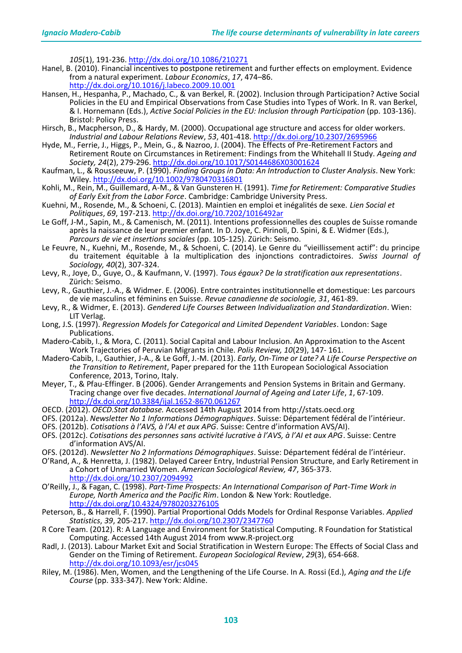*105*(1), 191-236. <http://dx.doi.org/10.1086/210271>

- Hanel, B. (2010). Financial incentives to postpone retirement and further effects on employment. Evidence from a natural experiment. *Labour Economics*, *17*, 474–86. <http://dx.doi.org/10.1016/j.labeco.2009.10.001>
- Hansen, H., Hespanha, P., Machado, C., & van Berkel, R. (2002). Inclusion through Participation? Active Social Policies in the EU and Empirical Observations from Case Studies into Types of Work. In R. van Berkel, & I. Hornemann (Eds.), *Active Social Policies in the EU: Inclusion through Participation* (pp. 103-136). Bristol: Policy Press.
- Hirsch, B., Macpherson, D., & Hardy, M. (2000). Occupational age structure and access for older workers. *Industrial and Labour Relations Review*, *53*, 401-418. <http://dx.doi.org/10.2307/2695966>
- Hyde, M., Ferrie, J., Higgs, P., Mein, G., & Nazroo, J. (2004). The Effects of Pre-Retirement Factors and Retirement Route on Circumstances in Retirement: Findings from the Whitehall II Study. *Ageing and Society, 24*(2), 279-296. <http://dx.doi.org/10.1017/S0144686X03001624>
- Kaufman, L., & Rousseeuw, P. (1990). *Finding Groups in Data: An Introduction to Cluster Analysis*. New York: Wiley. <http://dx.doi.org/10.1002/9780470316801>
- Kohli, M., Rein, M., Guillemard, A-M., & Van Gunsteren H. (1991). *Time for Retirement: Comparative Studies of Early Exit from the Labor Force*. Cambridge: Cambridge University Press.
- Kuehni, M., Rosende, M., & Schoeni, C. (2013). Maintien en emploi et inégalités de sexe. *Lien Social et Politiques*, *69*, 197-213. <http://dx.doi.org/10.7202/1016492ar>
- Le Goff, J-M., Sapin, M., & Camenisch, M. (2011). Intentions professionnelles des couples de Suisse romande après la naissance de leur premier enfant. In D. Joye, C. Pirinoli, D. Spini, & E. Widmer (Eds.), *Parcours de vie et insertions sociales* (pp. 105-125). Zürich: Seismo.
- Le Feuvre, N., Kuehni, M., Rosende, M., & Schoeni, C. (2014). Le Genre du "vieillissement actif": du principe du traitement équitable à la multiplication des injonctions contradictoires. *Swiss Journal of Sociology, 40*(2), 307-324.
- Levy, R., Joye, D., Guye, O., & Kaufmann, V. (1997). *Tous égaux? De la stratification aux representations*. Zürich: Seismo.
- Levy, R., Gauthier, J.-A., & Widmer. E. (2006). Entre contraintes institutionnelle et domestique: Les parcours de vie masculins et féminins en Suisse. *Revue canadienne de sociologie, 31*, 461-89.
- Levy, R., & Widmer, E. (2013). *Gendered Life Courses Between Individualization and Standardization*. Wien: LIT Verlag.
- Long, J.S. (1997). *Regression Models for Categorical and Limited Dependent Variables*. London: Sage Publications.
- Madero-Cabib, I., & Mora, C. (2011). Social Capital and Labour Inclusion. An Approximation to the Ascent Work Trajectories of Peruvian Migrants in Chile. *Polis Review, 10*(29), 147- 161.
- Madero-Cabib, I., Gauthier, J-A., & Le Goff, J.-M. (2013). *Early, On-Time or Late? A Life Course Perspective on the Transition to Retirement*, Paper prepared for the 11th European Sociological Association Conference, 2013, Torino, Italy.
- Meyer, T., & Pfau-Effinger. B (2006). Gender Arrangements and Pension Systems in Britain and Germany. Tracing change over five decades. *International Journal of Ageing and Later Life*, *1*, 67-109. <http://dx.doi.org/10.3384/ijal.1652-8670.061267>
- OECD. (2012). *OECD.Stat database.* Accessed 14th August 2014 from http://stats.oecd.org
- OFS. (2012a). *Newsletter No 1 Informations Démographiques*. Suisse: Département fédéral de l'intérieur.
- OFS. (2012b). *Cotisations à l'AVS, à l'AI et aux APG*. Suisse: Centre d'information AVS/AI).
- OFS. (2012c). *Cotisations des personnes sans activité lucrative à l'AVS, à l'AI et aux APG*. Suisse: Centre d'information AVS/AI.
- OFS. (2012d). *Newsletter No 2 Informations Démographiques*. Suisse: Département fédéral de l'intérieur.
- O'Rand, A., & Henretta, J. (1982). Delayed Career Entry, Industrial Pension Structure, and Early Retirement in a Cohort of Unmarried Women. *American Sociological Review, 47*, 365-373. <http://dx.doi.org/10.2307/2094992>
- O'Reilly, J., & Fagan, C. (1998). *Part-Time Prospects: An International Comparison of Part-Time Work in Europe, North America and the Pacific Rim*. London & New York: Routledge. <http://dx.doi.org/10.4324/9780203276105>
- Peterson, B., & Harrell, F. (1990). Partial Proportional Odds Models for Ordinal Response Variables. *Applied Statistics*, *39*, 205-217. <http://dx.doi.org/10.2307/2347760>
- R Core Team. (2012). R: A Language and Environment for Statistical Computing. R Foundation for Statistical Computing. Accessed 14th August 2014 from www.R-project.org
- Radl, J. (2013). Labour Market Exit and Social Stratification in Western Europe: The Effects of Social Class and Gender on the Timing of Retirement. *European Sociological Review*, *29*(3), 654-668. <http://dx.doi.org/10.1093/esr/jcs045>
- Riley, M. (1986). Men, Women, and the Lengthening of the Life Course. In A. Rossi (Ed.), *Aging and the Life Course* (pp. 333-347). New York: Aldine.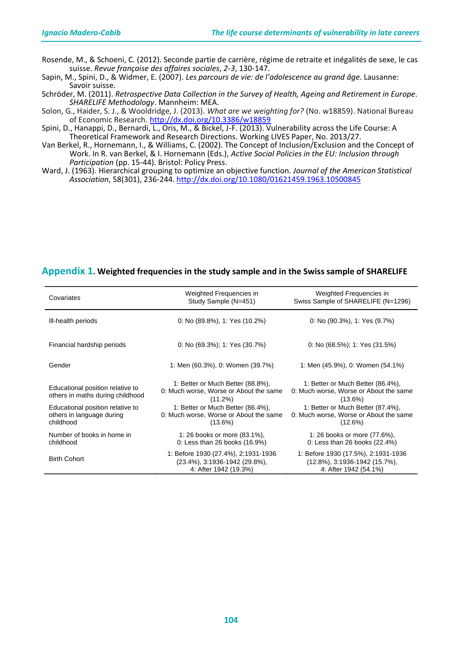Rosende, M., & Schoeni, C. (2012). Seconde partie de carrière, régime de retraite et inégalités de sexe, le cas suisse. *Revue française des affaires sociales*, *2-3*, 130-147.

Sapin, M., Spini, D., & Widmer, E. (2007). *Les parcours de vie: de l'adolescence au grand âge*. Lausanne: Savoir suisse.

Schröder, M. (2011). *[Retrospective Data Collection in the Survey of Health, Ageing and Retirement in Europe.](http://www.share-project.org/fileadmin/pdf_sharelife/Publications/FRB-Methodology_feb2011_color-1.pdf) SHARELIFE Methodology*. Mannheim: MEA.

Solon, G., Haider, S. J., & Wooldridge, J. (2013). *What are we weighting for?* (No. w18859). National Bureau of Economic Research. <http://dx.doi.org/10.3386/w18859>

Spini, D., Hanappi, D., Bernardi, L., Oris, M., & Bickel, J-F. (2013). Vulnerability across the Life Course: A Theoretical Framework and Research Directions. Working LIVES Paper, No. 2013/27.

Van Berkel, R., Hornemann, I., & Williams, C. (2002). The Concept of Inclusion/Exclusion and the Concept of Work. In R. van Berkel, & I. Hornemann (Eds.), *Active Social Policies in the EU: Inclusion through Participation* (pp. 15-44). Bristol: Policy Press.

Ward, J. (1963). Hierarchical grouping to optimize an objective function. *Journal of the American Statistical Association*, 58(301), 236-244. <http://dx.doi.org/10.1080/01621459.1963.10500845>

## **Appendix 1. Weighted frequencies in the study sample and in the Swiss sample of SHARELIFE**

| Covariates                                                                 | Weighted Frequencies in<br>Study Sample (N=451)                                                   | Weighted Frequencies in<br>Swiss Sample of SHARELIFE (N=1296)                                     |
|----------------------------------------------------------------------------|---------------------------------------------------------------------------------------------------|---------------------------------------------------------------------------------------------------|
| III-health periods                                                         | 0: No $(89.8\%)$ , 1: Yes $(10.2\%)$                                                              | $0:$ No (90.3%), 1: Yes (9.7%)                                                                    |
| Financial hardship periods                                                 | 0: No $(69.3\%)$ ; 1: Yes $(30.7\%)$                                                              | 0: No $(68.5\%)$ ; 1: Yes $(31.5\%)$                                                              |
| Gender                                                                     | 1: Men (60.3%), 0: Women (39.7%)                                                                  | 1: Men (45.9%), 0: Women (54.1%)                                                                  |
| Educational position relative to<br>others in maths during childhood       | 1: Better or Much Better (88.8%),<br>0: Much worse, Worse or About the same<br>$(11.2\%)$         | 1: Better or Much Better (86.4%),<br>0: Much worse, Worse or About the same<br>$(13.6\%)$         |
| Educational position relative to<br>others in language during<br>childhood | 1: Better or Much Better (86.4%),<br>0: Much worse, Worse or About the same<br>$(13.6\%)$         | 1: Better or Much Better (87.4%),<br>0: Much worse, Worse or About the same<br>(12.6%)            |
| Number of books in home in<br>childhood                                    | 1: 26 books or more (83.1%),<br>0: Less than 26 books (16.9%)                                     | 1: 26 books or more (77.6%),<br>0: Less than 26 books (22.4%)                                     |
| <b>Birth Cohort</b>                                                        | 1: Before 1930 (27.4%), 2:1931-1936<br>$(23.4\%)$ , 3:1936-1942 (29.8%),<br>4: After 1942 (19.3%) | 1: Before 1930 (17.5%), 2:1931-1936<br>$(12.8\%)$ , 3:1936-1942 (15.7%),<br>4: After 1942 (54.1%) |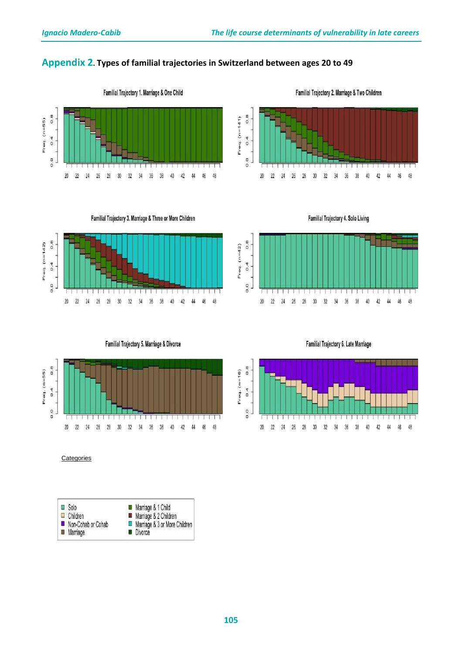## **Appendix 2. Types of familial trajectories in Switzerland between ages 20 to 49**



Familial Trajectory 1. Marriage & One Child

Familial Trajectory 2. Marriage & Two Children



Familial Trajectory 3. Marriage & Three or More Children



Familial Trajectory 4. Solo Living







**Categories** 



Familial Trajectory 6. Late Marriage